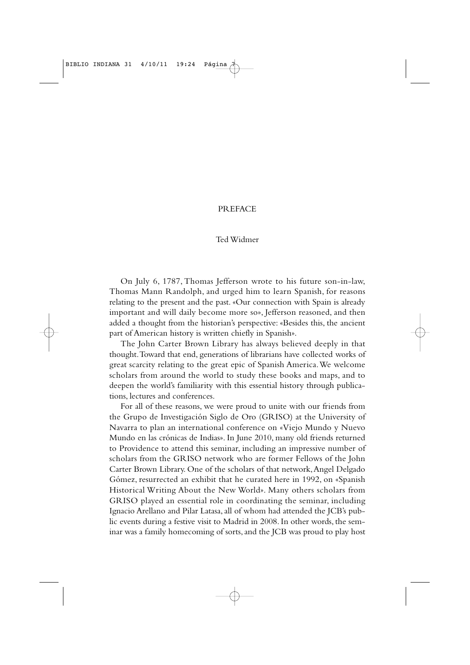## PREFACE

## Ted Widmer

On July 6, 1787, Thomas Jefferson wrote to his future son-in-law, Thomas Mann Randolph, and urged him to learn Spanish, for reasons relating to the present and the past. «Our connection with Spain is already important and will daily become more so», Jefferson reasoned, and then added a thought from the historian's perspective: «Besides this, the ancient part of American history is written chiefly in Spanish».

The John Carter Brown Library has always believed deeply in that thought.Toward that end, generations of librarians have collected works of great scarcity relating to the great epic of Spanish America.We welcome scholars from around the world to study these books and maps, and to deepen the world's familiarity with this essential history through publications, lectures and conferences.

For all of these reasons, we were proud to unite with our friends from the Grupo de Investigación Siglo de Oro (GRISO) at the University of Navarra to plan an international conference on «Viejo Mundo y Nuevo Mundo en las crónicas de Indias». In June 2010, many old friends returned to Providence to attend this seminar, including an impressive number of scholars from the GRISO network who are former Fellows of the John Carter Brown Library. One of the scholars of that network,Angel Delgado Gómez, resurrected an exhibit that he curated here in 1992, on «Spanish Historical Writing About the New World». Many others scholars from GRISO played an essential role in coordinating the seminar, including Ignacio Arellano and Pilar Latasa, all of whom had attended the JCB's public events during a festive visit to Madrid in 2008. In other words, the seminar was a family homecoming of sorts, and the JCB was proud to play host